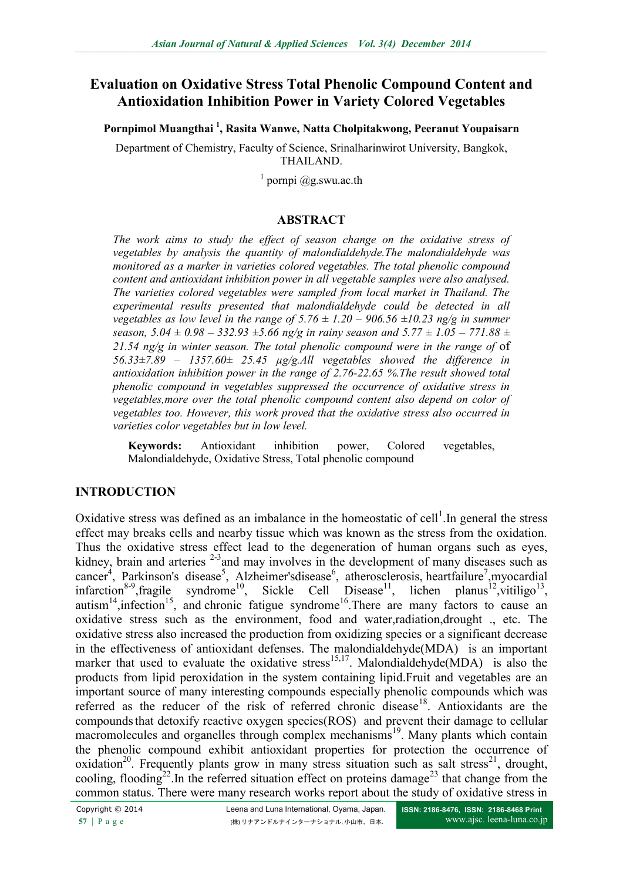# **Evaluation on Oxidative Stress Total Phenolic Compound Content and Antioxidation Inhibition Power in Variety Colored Vegetables**

**Pornpimol Muangthai <sup>1</sup> , Rasita Wanwe, Natta Cholpitakwong, Peeranut Youpaisarn**

Department of Chemistry, Faculty of Science, Srinalharinwirot University, Bangkok, THAILAND.

 $1$  pornpi @g.swu.ac.th

#### **ABSTRACT**

*The work aims to study the effect of season change on the oxidative stress of vegetables by analysis the quantity of malondialdehyde.The malondialdehyde was monitored as a marker in varieties colored vegetables. The total phenolic compound content and antioxidant inhibition power in all vegetable samples were also analysed. The varieties colored vegetables were sampled from local market in Thailand. The experimental results presented that malondialdehyde could be detected in all vegetables as low level in the range of*  $5.76 \pm 1.20 - 906.56 \pm 10.23$  ng/g in summer *season,*  $5.04 \pm 0.98 - 332.93 \pm 5.66$  ng/g in rainy season and  $5.77 \pm 1.05 - 771.88 \pm 0.02$ *21.54 ng/g in winter season. The total phenolic compound were in the range of* of *56.33±7.89 – 1357.60± 25.45 µg/g.All vegetables showed the difference in antioxidation inhibition power in the range of 2.76-22.65 %.The result showed total phenolic compound in vegetables suppressed the occurrence of oxidative stress in vegetables,more over the total phenolic compound content also depend on color of vegetables too. However, this work proved that the oxidative stress also occurred in varieties color vegetables but in low level.* 

**Keywords:** Antioxidant inhibition power, Colored vegetables, Malondialdehyde, Oxidative Stress, Total phenolic compound

#### **INTRODUCTION**

Oxidative stress was defined as an imbalance in the homeostatic of cell<sup>1</sup>. In general the stress effect may breaks cells and nearby tissue which was known as the stress from the oxidation. Thus the oxidative stress effect lead to the degeneration of human organs such as eyes, kidney, brain and arteries  $2-3$  and may involves in the development of many diseases such as [cancer](http://en.wikipedia.org/wiki/Cancer)<sup>4</sup>, [Parkinson's disease](http://en.wikipedia.org/wiki/Parkinson%27s_disease)<sup>5</sup>, [Alzheimer'sdisease](http://en.wikipedia.org/wiki/Alzheimer%27s_disease)<sup>6</sup>, [atherosclerosis,](http://en.wikipedia.org/wiki/Atherosclerosis) [heartfailure](http://en.wikipedia.org/wiki/Heart_failure)<sup>7</sup>, myocardial [infarction](http://en.wikipedia.org/wiki/Myocardial_infarction)<sup>8-9</sup>, fragile syndrome<sup>10</sup>, [Sickle Cell Disease](http://en.wikipedia.org/wiki/Sickle_Cell_Disease)<sup>11</sup>, [lichen planus](http://en.wikipedia.org/wiki/Lichen_planus)<sup>12</sup>, vitiligo<sup>13</sup>, [autism](http://en.wikipedia.org/wiki/Autism)<sup>14</sup>, infection<sup>15</sup>, and [chronic fatigue syndrome](http://en.wikipedia.org/wiki/Chronic_fatigue_syndrome)<sup>16</sup>. There are many factors to cause an oxidative stress such as the environment, food and water,radiation,drought ., etc. The oxidative stress also increased the production from oxidizing species or a significant decrease in the effectiveness of antioxidant defenses. The malondialdehyde(MDA) is an important marker that used to evaluate the oxidative stress<sup>15,17</sup>. Malondialdehyde(MDA) is also the products from lipid peroxidation in the system containing lipid.Fruit and vegetables are an important source of many interesting compounds especially phenolic compounds which was referred as the reducer of the risk of referred chronic disease<sup>18</sup>. Antioxidants are the compoundsthat detoxify reactive oxygen species(ROS) and prevent their damage to cellular macromolecules and organelles through complex mechanisms<sup>19</sup>. Many plants which contain the phenolic compound exhibit antioxidant properties for protection the occurrence of oxidation<sup>20</sup>. Frequently plants grow in many stress situation such as salt stress<sup>21</sup>, drought, cooling, flooding<sup>22</sup>. In the referred situation effect on proteins damage<sup>23</sup> that change from the common status. There were many research works report about the study of oxidative stress in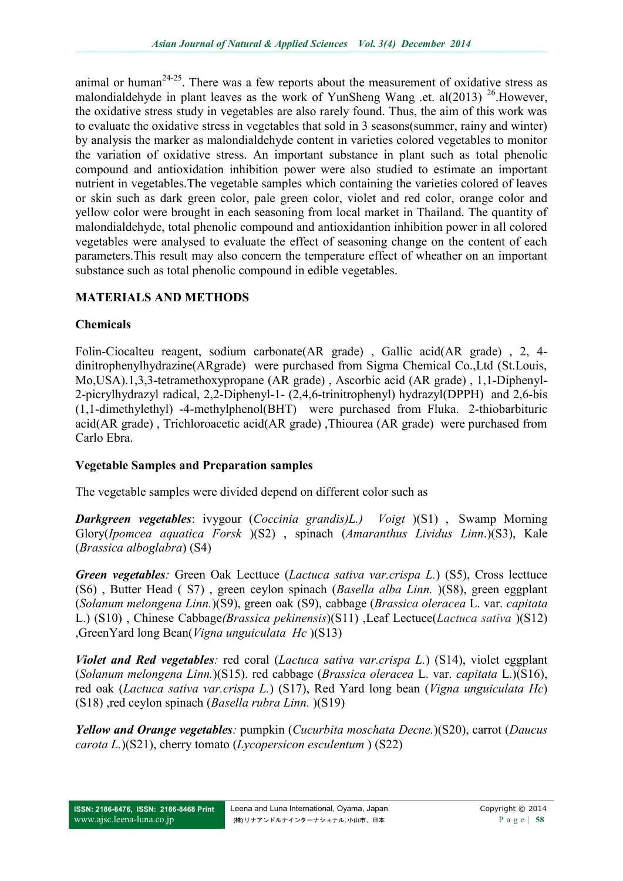animal or human<sup>24-25</sup>. There was a few reports about the measurement of oxidative stress as malondialdehyde in plant leaves as the work of YunSheng Wang .et. al(2013)  $^{26}$ . However, the oxidative stress study in vegetables are also rarely found. Thus, the aim of this work was to evaluate the oxidative stress in vegetables that sold in 3 seasons(summer, rainy and winter) by analysis the marker as malondialdehyde content in varieties colored vegetables to monitor the variation of oxidative stress. An important substance in plant such as total phenolic compound and antioxidation inhibition power were also studied to estimate an important nutrient in vegetables.The vegetable samples which containing the varieties colored of leaves or skin such as dark green color, pale green color, violet and red color, orange color and yellow color were brought in each seasoning from local market in Thailand. The quantity of malondialdehyde, total phenolic compound and antioxidantion inhibition power in all colored vegetables were analysed to evaluate the effect of seasoning change on the content of each parameters.This result may also concern the temperature effect of wheather on an important substance such as total phenolic compound in edible vegetables.

## **MATERIALS AND METHODS**

### **Chemicals**

Folin-Ciocalteu reagent, sodium carbonate(AR grade) , Gallic acid(AR grade) , 2, 4 dinitrophenylhydrazine(ARgrade) were purchased from Sigma Chemical Co.,Ltd (St.Louis, Mo,USA).1,3,3-tetramethoxypropane (AR grade) , Ascorbic acid (AR grade) , 1,1-Diphenyl-2-picrylhydrazyl radical, 2,2-Diphenyl-1- (2,4,6-trinitrophenyl) hydrazyl(DPPH) and 2,6-bis (1,1-dimethylethyl) -4-methylphenol(BHT) were purchased from Fluka. 2-thiobarbituric acid(AR grade) , Trichloroacetic acid(AR grade) ,Thiourea (AR grade) were purchased from Carlo Ebra.

### **Vegetable Samples and Preparation samples**

The vegetable samples were divided depend on different color such as

*Darkgreen vegetables*: ivygour (*Coccinia grandis(L.) Voigt* )(S1) , Swamp Morning Glory(*Ipomcea aquatica Forsk* )(S2) , spinach (*Amaranthus Lividus Linn*.)(S3), Kale (*Brassica alboglabra*) (S4)

*Green vegetables:* Green Oak Lecttuce (*Lactuca sativa var.crispa L.*) (S5), Cross lecttuce (S6) , Butter Head ( S7) , green ceylon spinach (*Basella alba Linn.* )(S8), green eggplant (*Solanum melongena Linn.*)(S9), green oak (S9), cabbage (*Brassica oleracea* L. var. *capitata* L.) (S10) , Chinese Cabbage*(Brassica pekinensis*)(S11) ,Leaf Lectuce(*Lactuca sativa* )(S12) ,GreenYard long Bean(*Vigna unguiculata Hc* )(S13)

*Violet and Red vegetables:* red coral (*Lactuca sativa var.crispa L.*) (S14), violet eggplant (*Solanum melongena Linn.*)(S15). red cabbage (*Brassica oleracea* L. var. *capitata* L.)(S16), red oak (*Lactuca sativa var.crispa L.*) (S17), Red Yard long bean (*Vigna unguiculata Hc*) (S18) ,red ceylon spinach (*Basella rubra Linn.* )(S19)

*Yellow and Orange vegetables:* pumpkin (*Cucurbita moschata Decne.*)(S20), carrot (*Daucus carota L.*)(S21), cherry tomato (*[Lycopersicon](http://www.vegetweb.com/%E0%B8%A1%E0%B8%B0%E0%B9%80%E0%B8%82%E0%B8%B7%E0%B8%AD%E0%B9%80%E0%B8%97%E0%B8%A8%E0%B9%80%E0%B8%8A%E0%B8%AD%E0%B8%A3%E0%B8%B5%E0%B9%88/) esculentum* ) (S22)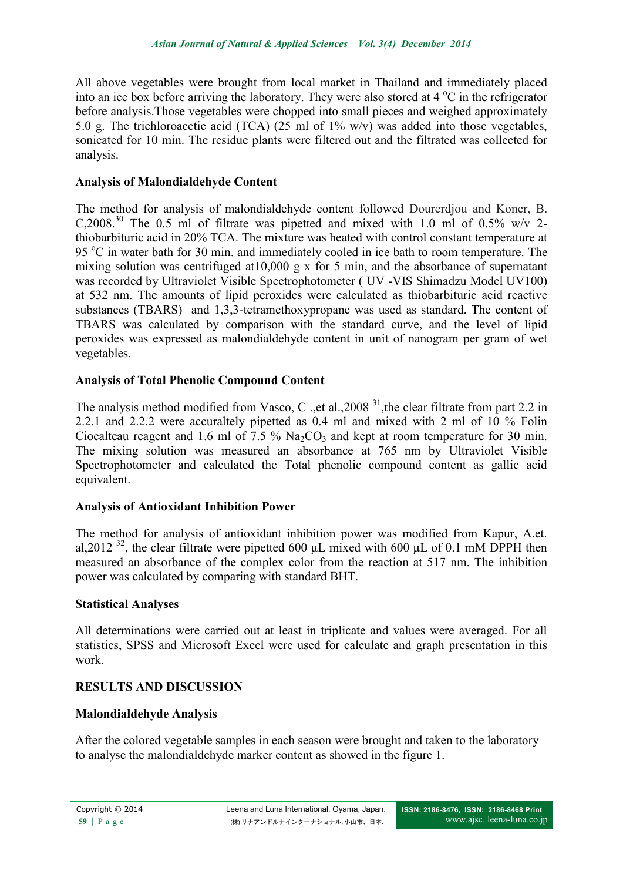All above vegetables were brought from local market in Thailand and immediately placed into an ice box before arriving the laboratory. They were also stored at  $4^{\circ}$ C in the refrigerator before analysis.Those vegetables were chopped into small pieces and weighed approximately 5.0 g. The trichloroacetic acid (TCA) (25 ml of 1% w/v) was added into those vegetables, sonicated for 10 min. The residue plants were filtered out and the filtrated was collected for analysis.

### **Analysis of Malondialdehyde Content**

The method for analysis of malondialdehyde content followed Dourerdjou and Koner, B. C,2008.<sup>30</sup> The 0.5 ml of filtrate was pipetted and mixed with 1.0 ml of 0.5% w/v 2thiobarbituric acid in 20% TCA. The mixture was heated with control constant temperature at 95 °C in water bath for 30 min. and immediately cooled in ice bath to room temperature. The mixing solution was centrifuged at10,000 g x for 5 min, and the absorbance of supernatant was recorded by Ultraviolet Visible Spectrophotometer ( UV -VIS Shimadzu Model UV100) at 532 nm. The amounts of lipid peroxides were calculated as thiobarbituric acid reactive substances (TBARS) and 1,3,3-tetramethoxypropane was used as standard. The content of TBARS was calculated by comparison with the standard curve, and the level of lipid peroxides was expressed as malondialdehyde content in unit of nanogram per gram of wet vegetables.

## **Analysis of Total Phenolic Compound Content**

The analysis method modified from Vasco, C ., et al., 2008<sup>31</sup>, the clear filtrate from part 2.2 in 2.2.1 and 2.2.2 were accuraltely pipetted as 0.4 ml and mixed with 2 ml of 10 % Folin Ciocalteau reagent and 1.6 ml of 7.5 %  $\text{Na}_2\text{CO}_3$  and kept at room temperature for 30 min. The mixing solution was measured an absorbance at 765 nm by Ultraviolet Visible Spectrophotometer and calculated the Total phenolic compound content as gallic acid equivalent.

### **Analysis of Antioxidant Inhibition Power**

The method for analysis of antioxidant inhibition power was modified from Kapur, A.et. al,2012<sup>32</sup>, the clear filtrate were pipetted 600 μL mixed with 600 μL of 0.1 mM DPPH then measured an absorbance of the complex color from the reaction at 517 nm. The inhibition power was calculated by comparing with standard BHT.

### **Statistical Analyses**

All determinations were carried out at least in triplicate and values were averaged. For all statistics, SPSS and Microsoft Excel were used for calculate and graph presentation in this work.

### **RESULTS AND DISCUSSION**

### **Malondialdehyde Analysis**

After the colored vegetable samples in each season were brought and taken to the laboratory to analyse the malondialdehyde marker content as showed in the figure 1.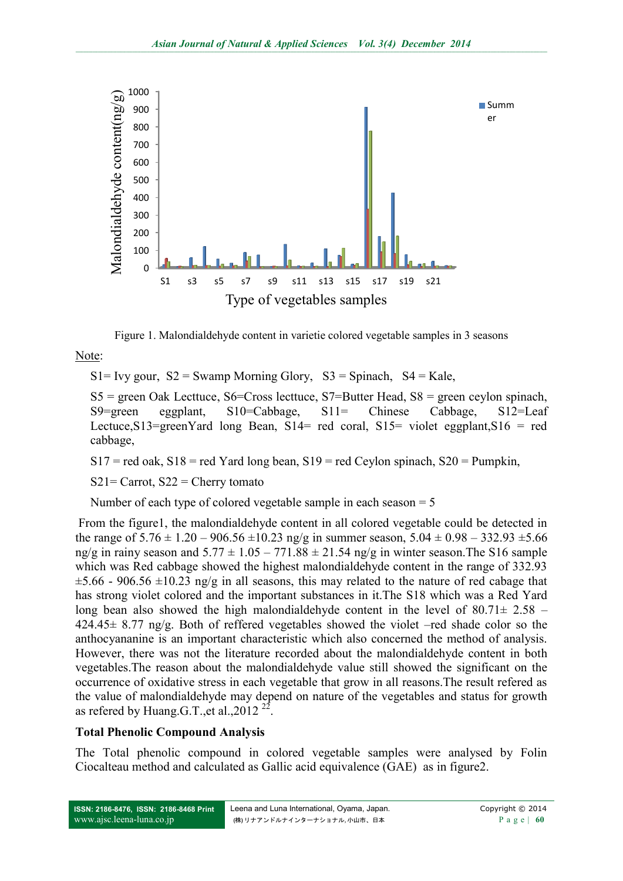

Figure 1. Malondialdehyde content in varietie colored vegetable samples in 3 seasons

Note:

 $S1 = Ivy gour, S2 = Swamp<sup>M</sup>orning Glory,  $S3 = Spinach, S4 = Kale,$$ 

 $SS = green$  Oak Lecttuce,  $S6 = Cross$  lecttuce,  $S7 = Butter$  Head,  $SS = green$  ceylon spinach, S9=green eggplant, S10=Cabbage, S11= Chinese Cabbage, S12=Leaf Lectuce,  $S13 = greenY$  and long Bean,  $S14 = red$  coral,  $S15 = violet$  eggplant,  $S16 = red$ cabbage,

 $S17 =$  red oak,  $S18 =$  red Yard long bean,  $S19 =$  red Ceylon spinach,  $S20 =$  Pumpkin,

 $S21 =$  Carrot,  $S22 =$  Cherry tomato

Number of each type of colored vegetable sample in each season  $= 5$ 

From the figure1, the malondialdehyde content in all colored vegetable could be detected in the range of  $5.76 \pm 1.20 - 906.56 \pm 10.23$  ng/g in summer season,  $5.04 \pm 0.98 - 332.93 \pm 5.66$ ng/g in rainy season and  $5.77 \pm 1.05 - 771.88 \pm 21.54$  ng/g in winter season. The S16 sample which was Red cabbage showed the highest malondialdehyde content in the range of 332.93  $\pm$ 5.66 - 906.56  $\pm$ 10.23 ng/g in all seasons, this may related to the nature of red cabage that has strong violet colored and the important substances in it.The S18 which was a Red Yard long bean also showed the high malondialdehyde content in the level of  $80.71 \pm 2.58$  – 424.45± 8.77 ng/g. Both of reffered vegetables showed the violet –red shade color so the anthocyananine is an important characteristic which also concerned the method of analysis. However, there was not the literature recorded about the malondialdehyde content in both vegetables.The reason about the malondialdehyde value still showed the significant on the occurrence of oxidative stress in each vegetable that grow in all reasons.The result refered as the value of malondialdehyde may depend on nature of the vegetables and status for growth as refered by Huang G.T., et al., 2012<sup>22</sup>.

#### **Total Phenolic Compound Analysis**

The Total phenolic compound in colored vegetable samples were analysed by Folin Ciocalteau method and calculated as Gallic acid equivalence (GAE) as in figure2.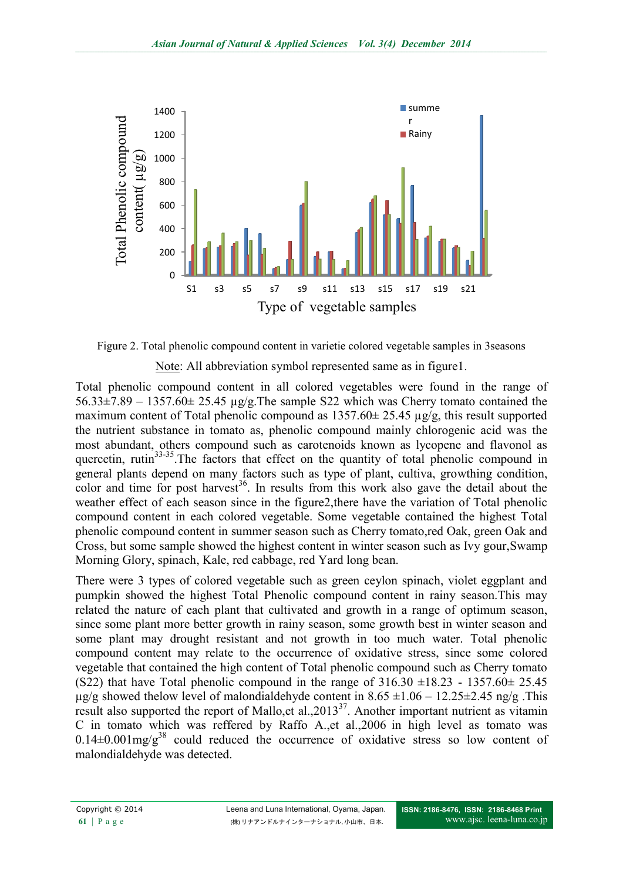

Figure 2. Total phenolic compound content in varietie colored vegetable samples in 3seasons

#### Note: All abbreviation symbol represented same as in figure1.

Total phenolic compound content in all colored vegetables were found in the range of 56.33 $\pm$ 7.89 – 1357.60 $\pm$  25.45 µg/g. The sample S22 which was Cherry tomato contained the maximum content of Total phenolic compound as  $1357.60 \pm 25.45 \mu g/g$ , this result supported the nutrient substance in tomato as, phenolic compound mainly chlorogenic acid was the most abundant, others compound such as carotenoids known as lycopene and flavonol as quercetin, rutin $33-35$ . The factors that effect on the quantity of total phenolic compound in general plants depend on many factors such as type of plant, cultiva, growthing condition, color and time for post harvest<sup>36</sup>. In results from this work also gave the detail about the weather effect of each season since in the figure2,there have the variation of Total phenolic compound content in each colored vegetable. Some vegetable contained the highest Total phenolic compound content in summer season such as Cherry tomato,red Oak, green Oak and Cross, but some sample showed the highest content in winter season such as Ivy gour,Swamp Morning Glory, spinach, Kale, red cabbage, red Yard long bean.

There were 3 types of colored vegetable such as green ceylon spinach, violet eggplant and pumpkin showed the highest Total Phenolic compound content in rainy season.This may related the nature of each plant that cultivated and growth in a range of optimum season, since some plant more better growth in rainy season, some growth best in winter season and some plant may drought resistant and not growth in too much water. Total phenolic compound content may relate to the occurrence of oxidative stress, since some colored vegetable that contained the high content of Total phenolic compound such as Cherry tomato (S22) that have Total phenolic compound in the range of  $316.30 \pm 18.23 - 1357.60 \pm 25.45$  $\mu$ g/g showed thelow level of malondialdehyde content in 8.65  $\pm$ 1.06 – 12.25 $\pm$ 2.45 ng/g .This result also supported the report of Mallo, et al.,  $2013^{37}$ . Another important nutrient as vitamin C in tomato which was reffered by Raffo A.,et al.,2006 in high level as tomato was  $0.14\pm0.001$  mg/g<sup>38</sup> could reduced the occurrence of oxidative stress so low content of malondialdehyde was detected.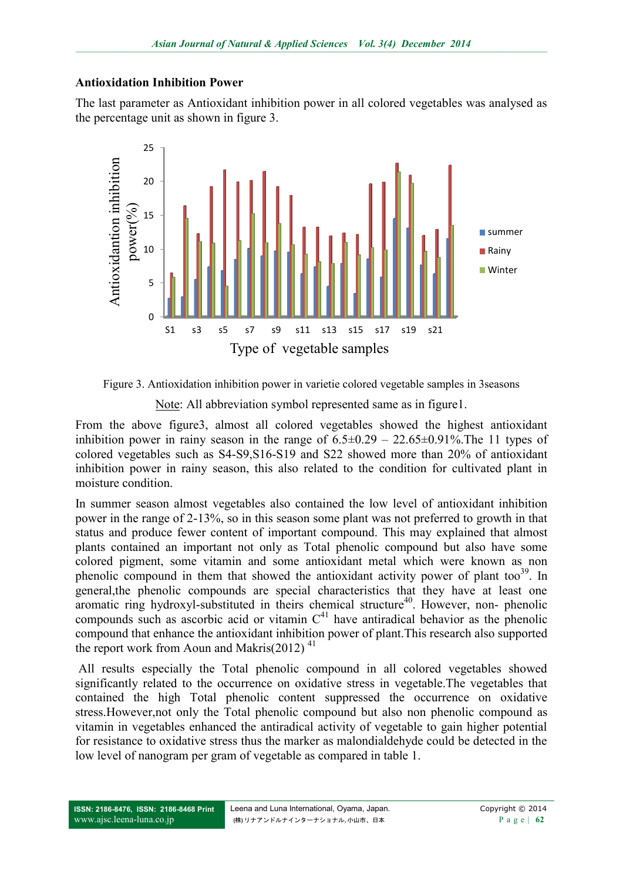#### **Antioxidation Inhibition Power**

The last parameter as Antioxidant inhibition power in all colored vegetables was analysed as the percentage unit as shown in figure 3.



Figure 3. Antioxidation inhibition power in varietie colored vegetable samples in 3seasons

Note: All abbreviation symbol represented same as in figure1.

From the above figure3, almost all colored vegetables showed the highest antioxidant inhibition power in rainy season in the range of  $6.5\pm0.29 - 22.65\pm0.91\%$ . The 11 types of colored vegetables such as S4-S9,S16-S19 and S22 showed more than 20% of antioxidant inhibition power in rainy season, this also related to the condition for cultivated plant in moisture condition.

In summer season almost vegetables also contained the low level of antioxidant inhibition power in the range of 2-13%, so in this season some plant was not preferred to growth in that status and produce fewer content of important compound. This may explained that almost plants contained an important not only as Total phenolic compound but also have some colored pigment, some vitamin and some antioxidant metal which were known as non phenolic compound in them that showed the antioxidant activity power of plant too<sup>39</sup>. In general,the phenolic compounds are special characteristics that they have at least one aromatic ring hydroxyl-substituted in theirs chemical structure<sup>40</sup>. However, non- phenolic compounds such as ascorbic acid or vitamin  $C<sup>41</sup>$  have antiradical behavior as the phenolic compound that enhance the antioxidant inhibition power of plant.This research also supported the report work from Aoun and Makris $(2012)^{41}$ 

All results especially the Total phenolic compound in all colored vegetables showed significantly related to the occurrence on oxidative stress in vegetable.The vegetables that contained the high Total phenolic content suppressed the occurrence on oxidative stress.However,not only the Total phenolic compound but also non phenolic compound as vitamin in vegetables enhanced the antiradical activity of vegetable to gain higher potential for resistance to oxidative stress thus the marker as malondialdehyde could be detected in the low level of nanogram per gram of vegetable as compared in table 1.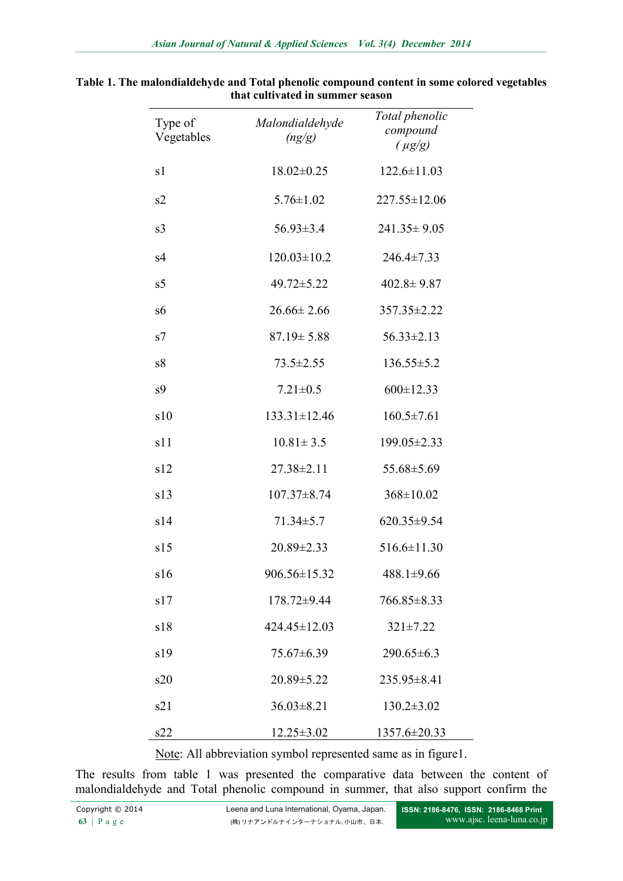| Type of<br>Vegetables | Malondialdehyde<br>(ng/g) | Total phenolic<br>compound<br>$(\mu g/g)$ |  |
|-----------------------|---------------------------|-------------------------------------------|--|
| s1                    | $18.02 \pm 0.25$          | $122.6 \pm 11.03$                         |  |
| s2                    | $5.76 \pm 1.02$           | $227.55 \pm 12.06$                        |  |
| s <sub>3</sub>        | $56.93 \pm 3.4$           | $241.35 \pm 9.05$                         |  |
| s4                    | $120.03 \pm 10.2$         | $246.4 \pm 7.33$                          |  |
| s5                    | 49.72±5.22                | $402.8 \pm 9.87$                          |  |
| s6                    | $26.66 \pm 2.66$          | 357.35 ± 2.22                             |  |
| s7                    | $87.19 \pm 5.88$          | $56.33 \pm 2.13$                          |  |
| s <sup>8</sup>        | $73.5 \pm 2.55$           | $136.55 \pm 5.2$                          |  |
| s <sub>9</sub>        | $7.21 \pm 0.5$            | $600 \pm 12.33$                           |  |
| s10                   | $133.31 \pm 12.46$        | $160.5 \pm 7.61$                          |  |
| s11                   | $10.81 \pm 3.5$           | 199.05±2.33                               |  |
| s12                   | $27.38 \pm 2.11$          | 55.68±5.69                                |  |
| s13                   | $107.37 \pm 8.74$         | $368 \pm 10.02$                           |  |
| s14                   | $71.34 \pm 5.7$           | $620.35 \pm 9.54$                         |  |
| s15                   | $20.89 \pm 2.33$          | $516.6 \pm 11.30$                         |  |
| s16                   | 906.56±15.32              | $488.1 \pm 9.66$                          |  |
| s17                   | $178.72 \pm 9.44$         | 766.85 ± 8.33                             |  |
| s18                   | 424.45±12.03              | $321 \pm 7.22$                            |  |
| s19                   | 75.67±6.39                | $290.65 \pm 6.3$                          |  |
| s20                   | $20.89 \pm 5.22$          | $235.95 \pm 8.41$                         |  |
| s21                   | $36.03 \pm 8.21$          | $130.2 \pm 3.02$                          |  |
| s22                   | $12.25 \pm 3.02$          | 1357.6±20.33                              |  |

| Table 1. The malondialdehyde and Total phenolic compound content in some colored vegetables |
|---------------------------------------------------------------------------------------------|
| that cultivated in summer season                                                            |

Note: All abbreviation symbol represented same as in figure1.

The results from table 1 was presented the comparative data between the content of malondialdehyde and Total phenolic compound in summer, that also support confirm the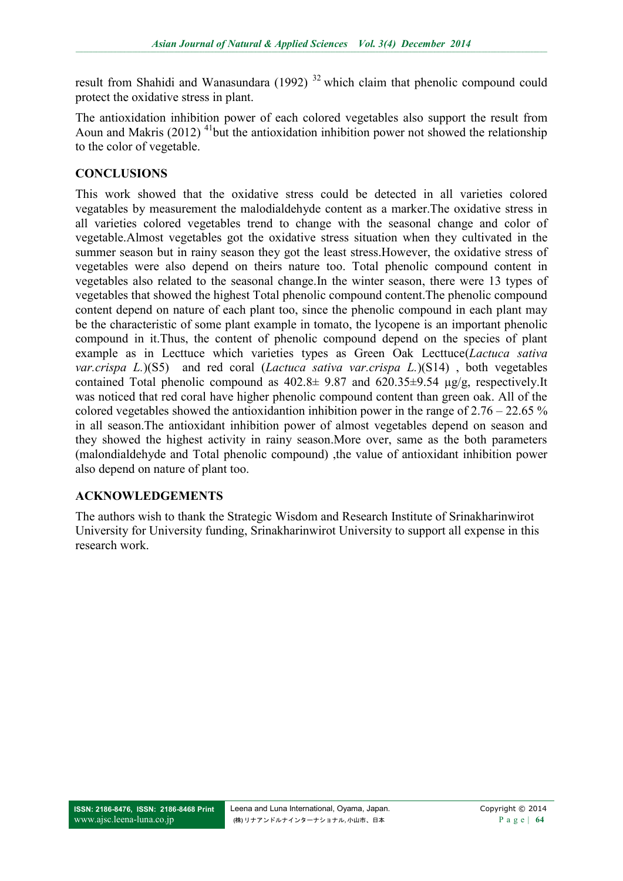result from Shahidi and Wanasundara (1992)<sup>32</sup> which claim that phenolic compound could protect the oxidative stress in plant.

The antioxidation inhibition power of each colored vegetables also support the result from Aoun and Makris (2012)  $^{41}$ but the antioxidation inhibition power not showed the relationship to the color of vegetable.

## **CONCLUSIONS**

This work showed that the oxidative stress could be detected in all varieties colored vegatables by measurement the malodialdehyde content as a marker.The oxidative stress in all varieties colored vegetables trend to change with the seasonal change and color of vegetable.Almost vegetables got the oxidative stress situation when they cultivated in the summer season but in rainy season they got the least stress.However, the oxidative stress of vegetables were also depend on theirs nature too. Total phenolic compound content in vegetables also related to the seasonal change.In the winter season, there were 13 types of vegetables that showed the highest Total phenolic compound content.The phenolic compound content depend on nature of each plant too, since the phenolic compound in each plant may be the characteristic of some plant example in tomato, the lycopene is an important phenolic compound in it.Thus, the content of phenolic compound depend on the species of plant example as in Lecttuce which varieties types as Green Oak Lecttuce(*Lactuca sativa var.crispa L.*)(S5) and red coral (*Lactuca sativa var.crispa L.*)(S14) , both vegetables contained Total phenolic compound as  $402.8 \pm 9.87$  and  $620.35 \pm 9.54$  µg/g, respectively.It was noticed that red coral have higher phenolic compound content than green oak. All of the colored vegetables showed the antioxidantion inhibition power in the range of  $2.76 - 22.65\%$ in all season.The antioxidant inhibition power of almost vegetables depend on season and they showed the highest activity in rainy season.More over, same as the both parameters (malondialdehyde and Total phenolic compound) ,the value of antioxidant inhibition power also depend on nature of plant too.

### **ACKNOWLEDGEMENTS**

The authors wish to thank the Strategic Wisdom and Research Institute of Srinakharinwirot University for University funding, Srinakharinwirot University to support all expense in this research work.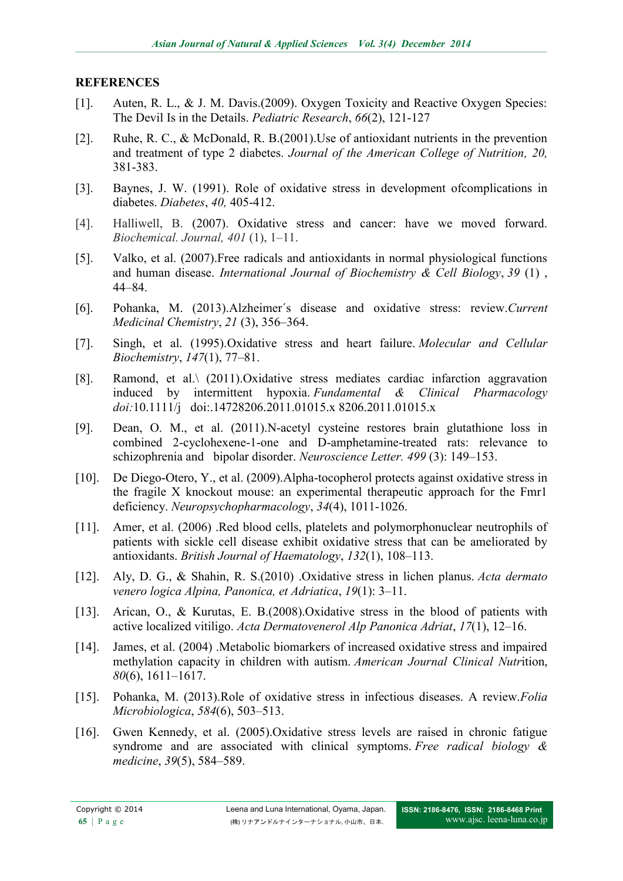#### **REFERENCES**

- [1]. Auten, R. L., & J. M. Davis.(2009). Oxygen Toxicity and Reactive Oxygen Species: The Devil Is in the Details. *Pediatric Research*, *66*(2), 121-127
- [2]. Ruhe, R. C., & McDonald, R. B.(2001).Use of antioxidant nutrients in the prevention and treatment of type 2 diabetes. *[Journal of the American College of Nutrition,](https://www.google.co.th/url?sa=t&rct=j&q=&esrc=s&source=web&cd=3&cad=rja&uact=8&ved=0CCsQFjAC&url=http%3A%2F%2Fwww.healthandsocialarena.com%2F2013%2F08%2Fjournal-of-the-american-college-of-nutrition-call-for-papers%2F&ei=pX1wVM7kIMjMyAPvo4DAAw&usg=AFQjCNEQ6eZIbjxaFbIL8i-aT2qHH1IEDA&bvm=bv.80185997,d.d2s) 20,* 381-383.
- [3]. Baynes, J. W. (1991). Role of oxidative stress in development ofcomplications in diabetes. *Diabetes*, *40,* 405-412.
- [4]. Halliwell, B. (2007). Oxidative stress and cancer: have we moved forward. *Biochemical. Journal, 401* (1), 1–11.
- [5]. Valko, et al. (2007).Free radicals and antioxidants in normal physiological functions and human disease. *International Journal of Biochemistry & Cell Biology*, *39* (1) , 44–84.
- [6]. Pohanka, M. (2013)[.Alzheimer´s disease and oxidative stress: review.](http://www.eurekaselect.com/115342/article)*Current Medicinal Chemistry*, *21* (3), 356–364.
- [7]. Singh, et al. (1995)[.Oxidative stress and heart failure.](http://dx.doi.org/10.1007/BF00944786) *Molecular and Cellular Biochemistry*, *147*(1), 77–81.
- [8]. Ramond, et al.\ (2011).Oxidative stress mediates cardiac infarction aggravation induced by intermittent hypoxia. *[Fundamental & Clinical Pharmacology](https://www.google.co.th/url?sa=t&rct=j&q=&esrc=s&source=web&cd=1&cad=rja&uact=8&sqi=2&ved=0CB8QFjAA&url=http%3A%2F%2Fonlinelibrary.wiley.com%2Fjournal%2F10.1111%2F%2528ISSN%25291472-8206&ei=tXxwVN_nD9bVaomogogN&usg=AFQjCNFkn80qNwW6yOLsfc7FPpb_U_U24A) doi:*10.1111/j[doi](http://en.wikipedia.org/wiki/Digital_object_identifier)[:.14728206.2011.01015.x 8206.2011.01015.x](http://dx.doi.org/10.1111%2Fj.1472-8206.2011.01015.x)
- [9]. Dean, O. M., et al. (2011).N-acetyl cysteine restores brain glutathione loss in combined 2-cyclohexene-1-one and D-amphetamine-treated rats: relevance to schizophrenia and bipolar disorder. *Neuroscience Letter. 499* (3): 149–153.
- [10]. De Diego-Otero, Y., et al. (2009). Alpha-tocopherol protects against oxidative stress in the fragile X knockout mouse: an experimental therapeutic approach for the Fmr1 deficiency. *Neuropsychopharmacology*, *34*(4), 1011-1026.
- [11]. Amer, et al. (2006) .Red blood cells, platelets and polymorphonuclear neutrophils of patients with sickle cell disease exhibit oxidative stress that can be ameliorated by antioxidants. *British Journal of Haematology*, *132*(1), 108–113.
- [12]. Aly, D. G., & Shahin, R. S.(2010) .Oxidative stress in lichen planus. *Acta dermato venero logica Alpina, Panonica, et Adriatica*, *19*(1): 3–11.
- [13]. Arican, O., & Kurutas, E. B.(2008).Oxidative stress in the blood of patients with active localized vitiligo. *Acta Dermatovenerol Alp Panonica Adriat*, *17*(1), 12–16.
- [14]. James, et al. (2004) .Metabolic biomarkers of increased oxidative stress and impaired methylation capacity in children with autism. *American Journal Clinical Nutr*ition, *80*(6), 1611–1617.
- [15]. Pohanka, M. (2013)[.Role of oxidative stress in infectious diseases. A review.](http://link.springer.com/article/10.1007/s12223-013-0239-5)*Folia Microbiologica*, *584*(6), 503–513.
- [16]. Gwen Kennedy, et al. (2005).Oxidative stress levels are raised in chronic fatigue syndrome and are associated with clinical symptoms. *Free radical biology & medicine*, *39*(5), 584–589.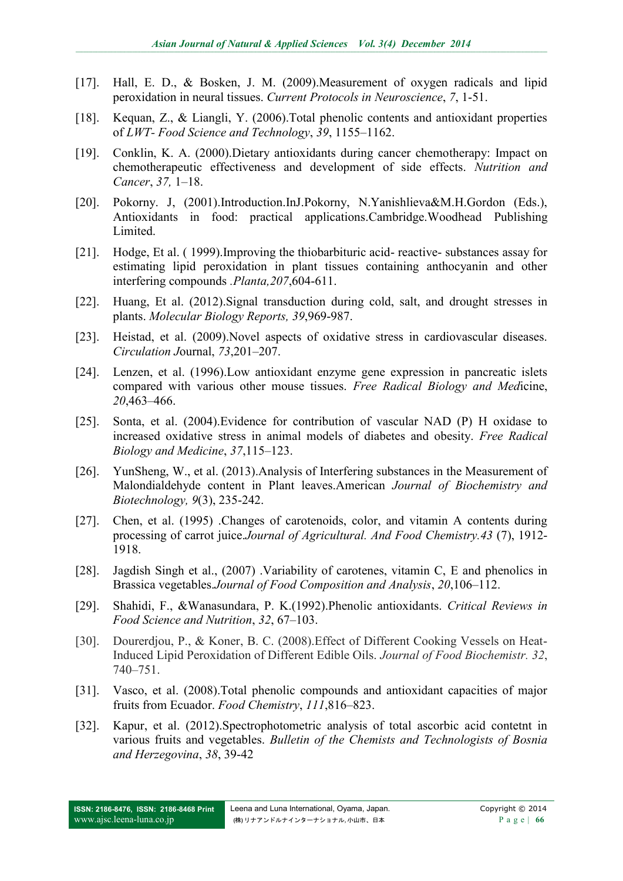- [17]. Hall, E. D., & Bosken, J. M. (2009).Measurement of oxygen radicals and lipid peroxidation in neural tissues. *Current Protocols in Neuroscience*, *7*, 1-51.
- [18]. Kequan, Z., & Liangli, Y. (2006).Total phenolic contents and antioxidant properties of *LWT- Food Science and Technology*, *39*, 1155–1162.
- [19]. Conklin, K. A. (2000).Dietary antioxidants during cancer chemotherapy: Impact on chemotherapeutic effectiveness and development of side effects. *Nutrition and Cancer*, *37,* 1–18.
- [20]. Pokorny. J, (2001).Introduction.InJ.Pokorny, N.Yanishlieva&M.H.Gordon (Eds.), Antioxidants in food: practical applications.Cambridge.Woodhead Publishing Limited.
- [21]. Hodge, Et al. ( 1999).Improving the thiobarbituric acid- reactive- substances assay for estimating lipid peroxidation in plant tissues containing anthocyanin and other interfering compounds *.Planta,207*,604-611.
- [22]. Huang, Et al. (2012).Signal transduction during cold, salt, and drought stresses in plants. *Molecular Biology Reports, 39*,969-987.
- [23]. Heistad, et al. (2009).Novel aspects of oxidative stress in cardiovascular diseases. *Circulation J*ournal, *73*,201–207.
- [24]. Lenzen, et al. (1996).Low antioxidant enzyme gene expression in pancreatic islets compared with various other mouse tissues. *Free Radical Biology and Med*icine, *20*,463–466.
- [25]. Sonta, et al. (2004).Evidence for contribution of vascular NAD (P) H oxidase to increased oxidative stress in animal models of diabetes and obesity. *Free Radical Biology and Medicine*, *37*,115–123.
- [26]. YunSheng, W., et al. (2013).Analysis of Interfering substances in the Measurement of Malondialdehyde content in Plant leaves.American *Journal of Biochemistry and Biotechnology, 9*(3), 235-242.
- [27]. Chen, et al. (1995) .Changes of carotenoids, color, and vitamin A contents during processing of carrot juice.*Journal of Agricultural. And Food Chemistry.43* (7), 1912- 1918.
- [28]. Jagdish Singh et al., (2007) .Variability of carotenes, vitamin C, E and phenolics in Brassica vegetables.*Journal of Food Composition and Analysis*, *20*,106–112.
- [29]. Shahidi, F., &Wanasundara, P. K.(1992).Phenolic antioxidants. *Critical Reviews in Food Science and Nutrition*, *32*, 67–103.
- [30]. Dourerdjou, P., & Koner, B. C. (2008).Effect of Different Cooking Vessels on Heat-Induced Lipid Peroxidation of Different Edible Oils. *Journal of Food Biochemistr. 32*, 740–751.
- [31]. Vasco, et al. (2008).Total phenolic compounds and antioxidant capacities of major fruits from Ecuador. *Food Chemistry*, *111*,816–823.
- [32]. Kapur, et al. (2012).Spectrophotometric analysis of total ascorbic acid contetnt in various fruits and vegetables. *Bulletin of the Chemists and Technologists of Bosnia and Herzegovina*, *38*, 39-42